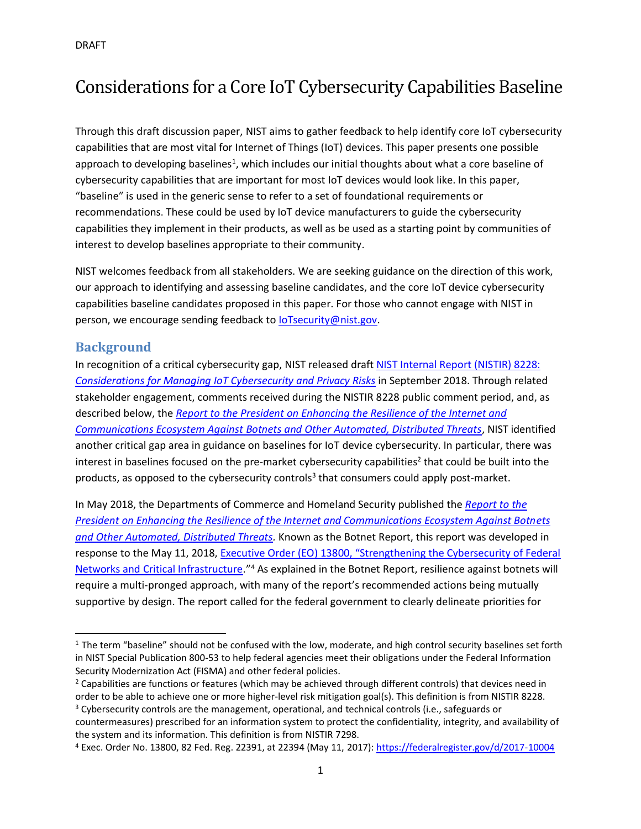# Considerations for a Core IoT Cybersecurity Capabilities Baseline

Through this draft discussion paper, NIST aims to gather feedback to help identify core IoT cybersecurity capabilities that are most vital for Internet of Things (IoT) devices. This paper presents one possible approach to developing baselines<sup>1</sup>, which includes our initial thoughts about what a core baseline of cybersecurity capabilities that are important for most IoT devices would look like. In this paper, "baseline" is used in the generic sense to refer to a set of foundational requirements or recommendations. These could be used by IoT device manufacturers to guide the cybersecurity capabilities they implement in their products, as well as be used as a starting point by communities of interest to develop baselines appropriate to their community.

NIST welcomes feedback from all stakeholders. We are seeking guidance on the direction of this work, our approach to identifying and assessing baseline candidates, and the core IoT device cybersecurity capabilities baseline candidates proposed in this paper. For those who cannot engage with NIST in person, we encourage sending feedback to [IoTsecurity@nist.gov.](mailto:IoTsecurity@nist.gov)

#### **Background**

 $\overline{\phantom{0}}$ 

In recognition of a critical cybersecurity gap, NIST released draft [NIST Internal Report \(NISTIR\) 8228:](https://www.nist.gov/blogs/i-think-therefore-iam/dont-leave-us-our-own-devices-seeking-feedback-draft-nistir-iot)  *Considerations [for Managing IoT Cybersecurity and Privacy Risks](https://www.nist.gov/blogs/i-think-therefore-iam/dont-leave-us-our-own-devices-seeking-feedback-draft-nistir-iot)* in September 2018. Through related stakeholder engagement, comments received during the NISTIR 8228 public comment period, and, as described below, the *[Report to the President](https://csrc.nist.gov/CSRC/media/Publications/white-paper/2018/05/30/enhancing-resilience-against-botnets--report-to-the-president/final/documents/eo_13800_botnet_report_-_finalv2.pdf) on Enhancing the Resilience of the Internet and Communications Ecosystem Against Botnets [and Other Automated, Distributed Threats](https://csrc.nist.gov/CSRC/media/Publications/white-paper/2018/05/30/enhancing-resilience-against-botnets--report-to-the-president/final/documents/eo_13800_botnet_report_-_finalv2.pdf)*, NIST identified another critical gap area in guidance on baselines for IoT device cybersecurity. In particular, there was interest in baselines focused on the pre-market cybersecurity capabilities<sup>2</sup> that could be built into the products, as opposed to the cybersecurity controls<sup>3</sup> that consumers could apply post-market.

In May 2018, the Departments of Commerce and Homeland Security published the *[Report to the](https://csrc.nist.gov/publications/detail/white-paper/2018/05/30/enhancing-resilience-against-botnets--report-to-the-president/final)  [President on Enhancing the Resilience of the Internet and Communications Ecosystem Against Botnets](https://csrc.nist.gov/publications/detail/white-paper/2018/05/30/enhancing-resilience-against-botnets--report-to-the-president/final)  [and Other Automated, Distributed Threats.](https://csrc.nist.gov/publications/detail/white-paper/2018/05/30/enhancing-resilience-against-botnets--report-to-the-president/final)* Known as the Botnet Report, this report was developed in response to the May 11, 2018, [Executive Order \(EO\) 13800, "Strengthening the Cybersecurity of Federal](https://www.federalregister.gov/documents/2017/05/16/2017-10004/strengthening-the-cybersecurity-of-federal-networks-and-critical-infrastructure)  [Networks and Critical Infrastructure.](https://www.federalregister.gov/documents/2017/05/16/2017-10004/strengthening-the-cybersecurity-of-federal-networks-and-critical-infrastructure)"<sup>4</sup> As explained in the Botnet Report, resilience against botnets will require a multi-pronged approach, with many of the report's recommended actions being mutually supportive by design. The report called for the federal government to clearly delineate priorities for

 $1$  The term "baseline" should not be confused with the low, moderate, and high control security baselines set forth in NIST Special Publication 800-53 to help federal agencies meet their obligations under the Federal Information Security Modernization Act (FISMA) and other federal policies.

<sup>&</sup>lt;sup>2</sup> Capabilities are functions or features (which may be achieved through different controls) that devices need in order to be able to achieve one or more higher-level risk mitigation goal(s). This definition is from NISTIR 8228.

<sup>&</sup>lt;sup>3</sup> Cybersecurity controls are the management, operational, and technical controls (i.e., safeguards or countermeasures) prescribed for an information system to protect the confidentiality, integrity, and availability of the system and its information. This definition is from NISTIR 7298.

<sup>4</sup> Exec. Order No. 13800, 82 Fed. Reg. 22391, at 22394 (May 11, 2017): <https://federalregister.gov/d/2017-10004>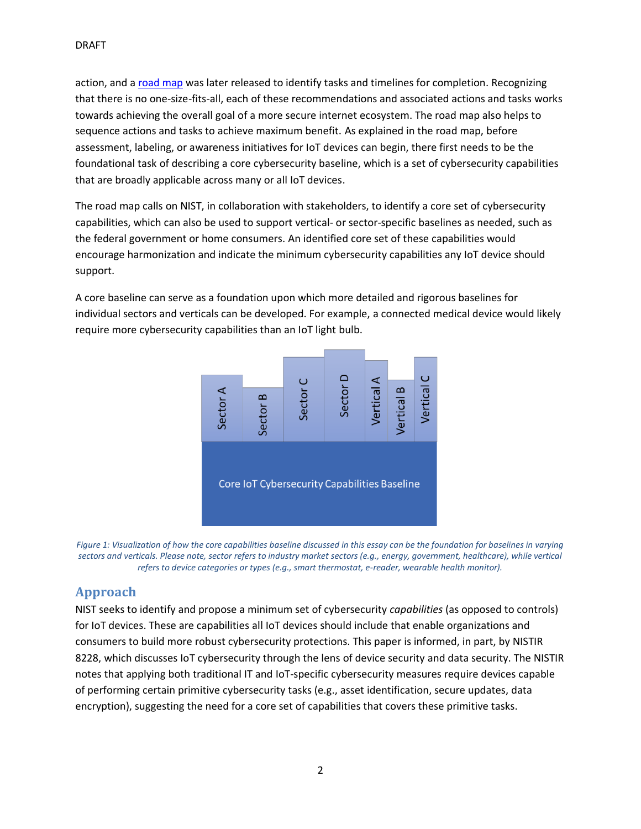action, and a [road map](https://www.commerce.gov/sites/default/files/2018-11/Botnet%20Road%20Map%20112918%20for%20posting_0.pdf) was later released to identify tasks and timelines for completion. Recognizing that there is no one-size-fits-all, each of these recommendations and associated actions and tasks works towards achieving the overall goal of a more secure internet ecosystem. The road map also helps to sequence actions and tasks to achieve maximum benefit. As explained in the road map, before assessment, labeling, or awareness initiatives for IoT devices can begin, there first needs to be the foundational task of describing a core cybersecurity baseline, which is a set of cybersecurity capabilities that are broadly applicable across many or all IoT devices.

The road map calls on NIST, in collaboration with stakeholders, to identify a core set of cybersecurity capabilities, which can also be used to support vertical- or sector-specific baselines as needed, such as the federal government or home consumers. An identified core set of these capabilities would encourage harmonization and indicate the minimum cybersecurity capabilities any IoT device should support.

A core baseline can serve as a foundation upon which more detailed and rigorous baselines for individual sectors and verticals can be developed. For example, a connected medical device would likely require more cybersecurity capabilities than an IoT light bulb.



*Figure 1: Visualization of how the core capabilities baseline discussed in this essay can be the foundation for baselines in varying sectors and verticals. Please note, sector refers to industry market sectors (e.g., energy, government, healthcare), while vertical refers to device categories or types (e.g., smart thermostat, e-reader, wearable health monitor).*

# **Approach**

NIST seeks to identify and propose a minimum set of cybersecurity *capabilities* (as opposed to controls) for IoT devices. These are capabilities all IoT devices should include that enable organizations and consumers to build more robust cybersecurity protections. This paper is informed, in part, by NISTIR 8228, which discusses IoT cybersecurity through the lens of device security and data security. The NISTIR notes that applying both traditional IT and IoT-specific cybersecurity measures require devices capable of performing certain primitive cybersecurity tasks (e.g., asset identification, secure updates, data encryption), suggesting the need for a core set of capabilities that covers these primitive tasks.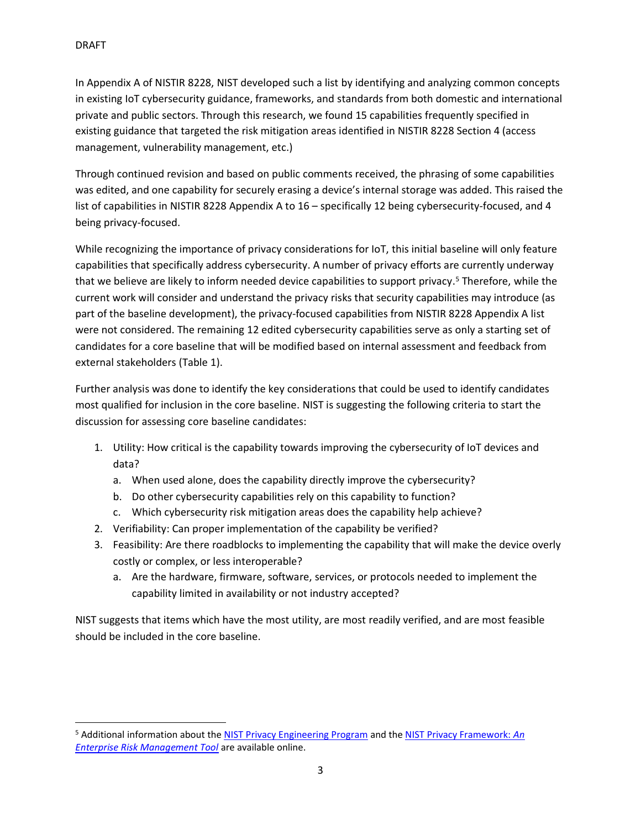$\overline{a}$ 

In Appendix A of NISTIR 8228, NIST developed such a list by identifying and analyzing common concepts in existing IoT cybersecurity guidance, frameworks, and standards from both domestic and international private and public sectors. Through this research, we found 15 capabilities frequently specified in existing guidance that targeted the risk mitigation areas identified in NISTIR 8228 Section 4 (access management, vulnerability management, etc.)

Through continued revision and based on public comments received, the phrasing of some capabilities was edited, and one capability for securely erasing a device's internal storage was added. This raised the list of capabilities in NISTIR 8228 Appendix A to 16 – specifically 12 being cybersecurity-focused, and 4 being privacy-focused.

While recognizing the importance of privacy considerations for IoT, this initial baseline will only feature capabilities that specifically address cybersecurity. A number of privacy efforts are currently underway that we believe are likely to inform needed device capabilities to support privacy. <sup>5</sup> Therefore, while the current work will consider and understand the privacy risks that security capabilities may introduce (as part of the baseline development), the privacy-focused capabilities from NISTIR 8228 Appendix A list were not considered. The remaining 12 edited cybersecurity capabilities serve as only a starting set of candidates for a core baseline that will be modified based on internal assessment and feedback from external stakeholders (Table 1).

Further analysis was done to identify the key considerations that could be used to identify candidates most qualified for inclusion in the core baseline. NIST is suggesting the following criteria to start the discussion for assessing core baseline candidates:

- 1. Utility: How critical is the capability towards improving the cybersecurity of IoT devices and data?
	- a. When used alone, does the capability directly improve the cybersecurity?
	- b. Do other cybersecurity capabilities rely on this capability to function?
	- c. Which cybersecurity risk mitigation areas does the capability help achieve?
- 2. Verifiability: Can proper implementation of the capability be verified?
- 3. Feasibility: Are there roadblocks to implementing the capability that will make the device overly costly or complex, or less interoperable?
	- a. Are the hardware, firmware, software, services, or protocols needed to implement the capability limited in availability or not industry accepted?

NIST suggests that items which have the most utility, are most readily verified, and are most feasible should be included in the core baseline.

<sup>5</sup> Additional information about the [NIST Privacy Engineering Program](https://www.nist.gov/itl/applied-cybersecurity/privacy-engineering) and the [NIST Privacy Framework:](https://www.nist.gov/privacy-framework) *An [Enterprise Risk Management Tool](https://www.nist.gov/privacy-framework)* are available online.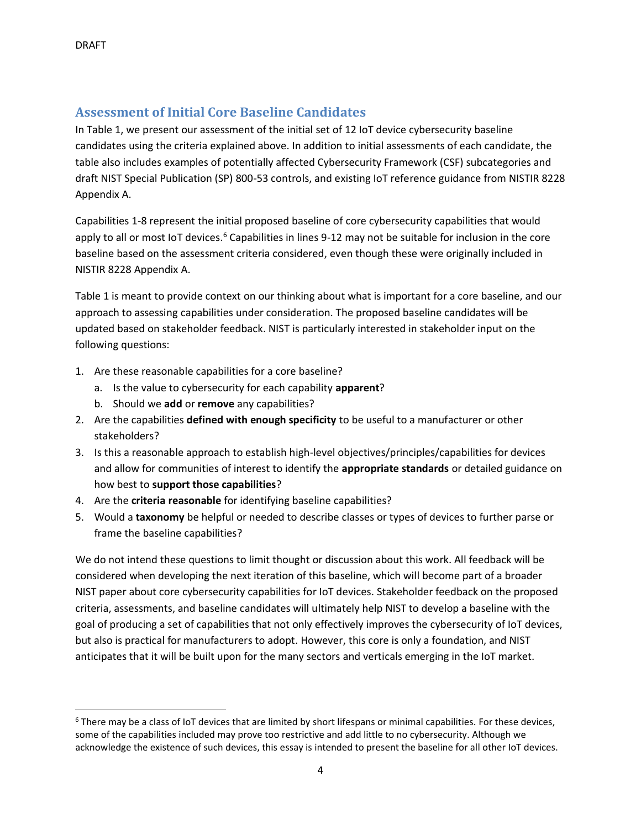$\overline{a}$ 

## **Assessment of Initial Core Baseline Candidates**

In Table 1, we present our assessment of the initial set of 12 IoT device cybersecurity baseline candidates using the criteria explained above. In addition to initial assessments of each candidate, the table also includes examples of potentially affected Cybersecurity Framework (CSF) subcategories and draft NIST Special Publication (SP) 800-53 controls, and existing IoT reference guidance from NISTIR 8228 Appendix A.

Capabilities 1-8 represent the initial proposed baseline of core cybersecurity capabilities that would apply to all or most IoT devices.<sup>6</sup> Capabilities in lines 9-12 may not be suitable for inclusion in the core baseline based on the assessment criteria considered, even though these were originally included in NISTIR 8228 Appendix A.

Table 1 is meant to provide context on our thinking about what is important for a core baseline, and our approach to assessing capabilities under consideration. The proposed baseline candidates will be updated based on stakeholder feedback. NIST is particularly interested in stakeholder input on the following questions:

- 1. Are these reasonable capabilities for a core baseline?
	- a. Is the value to cybersecurity for each capability **apparent**?
	- b. Should we **add** or **remove** any capabilities?
- 2. Are the capabilities **defined with enough specificity** to be useful to a manufacturer or other stakeholders?
- 3. Is this a reasonable approach to establish high-level objectives/principles/capabilities for devices and allow for communities of interest to identify the **appropriate standards** or detailed guidance on how best to **support those capabilities**?
- 4. Are the **criteria reasonable** for identifying baseline capabilities?
- 5. Would a **taxonomy** be helpful or needed to describe classes or types of devices to further parse or frame the baseline capabilities?

We do not intend these questions to limit thought or discussion about this work. All feedback will be considered when developing the next iteration of this baseline, which will become part of a broader NIST paper about core cybersecurity capabilities for IoT devices. Stakeholder feedback on the proposed criteria, assessments, and baseline candidates will ultimately help NIST to develop a baseline with the goal of producing a set of capabilities that not only effectively improves the cybersecurity of IoT devices, but also is practical for manufacturers to adopt. However, this core is only a foundation, and NIST anticipates that it will be built upon for the many sectors and verticals emerging in the IoT market.

<sup>6</sup> There may be a class of IoT devices that are limited by short lifespans or minimal capabilities. For these devices, some of the capabilities included may prove too restrictive and add little to no cybersecurity. Although we acknowledge the existence of such devices, this essay is intended to present the baseline for all other IoT devices.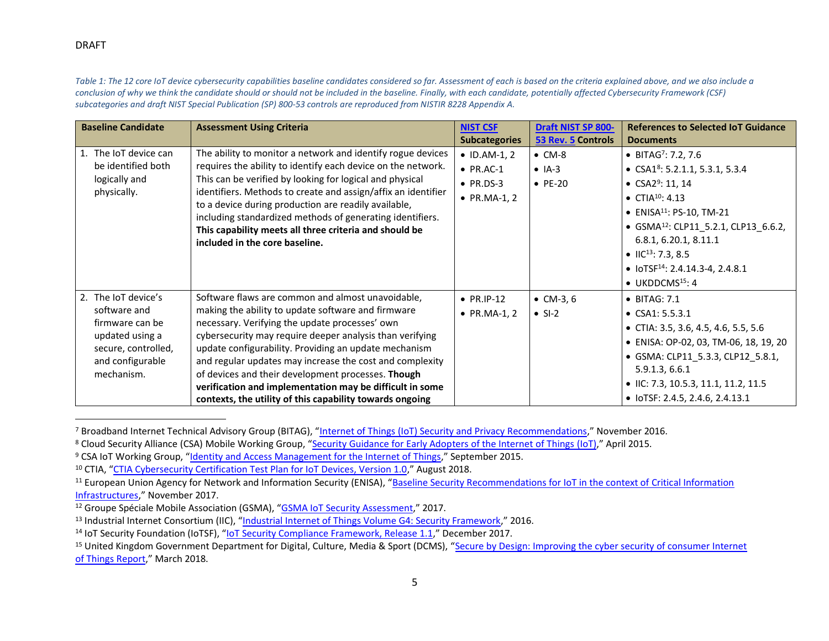#### DRAFT

 $\overline{a}$ 

*Table 1: The 12 core IoT device cybersecurity capabilities baseline candidates considered so far. Assessment of each is based on the criteria explained above, and we also include a conclusion of why we think the candidate should or should not be included in the baseline. Finally, with each candidate, potentially affected Cybersecurity Framework (CSF) subcategories and draft NIST Special Publication (SP) 800-53 controls are reproduced from NISTIR 8228 Appendix A.*

| <b>Baseline Candidate</b>                   | <b>Assessment Using Criteria</b>                                                                                                                                                   | <b>NIST CSF</b>      | <b>Draft NIST SP 800-</b> | <b>References to Selected IoT Guidance</b>       |
|---------------------------------------------|------------------------------------------------------------------------------------------------------------------------------------------------------------------------------------|----------------------|---------------------------|--------------------------------------------------|
|                                             |                                                                                                                                                                                    | <b>Subcategories</b> | 53 Rev. 5 Controls        | <b>Documents</b>                                 |
| 1. The IoT device can<br>be identified both | The ability to monitor a network and identify rogue devices<br>requires the ability to identify each device on the network.                                                        | $\bullet$ ID.AM-1, 2 | $\bullet$ CM-8            | • BITAG <sup>7</sup> : 7.2, 7.6                  |
|                                             |                                                                                                                                                                                    | $\bullet$ PR.AC-1    | $\bullet$ IA-3            | • CSA1 <sup>8</sup> : 5.2.1.1, 5.3.1, 5.3.4      |
| logically and                               | This can be verified by looking for logical and physical                                                                                                                           | $\bullet$ PR.DS-3    | $\bullet$ PE-20           | • $CSA2^9: 11, 14$                               |
| physically.                                 | identifiers. Methods to create and assign/affix an identifier<br>to a device during production are readily available,<br>including standardized methods of generating identifiers. | • $PR.MA-1, 2$       |                           | • CTIA <sup>10</sup> : 4.13                      |
|                                             |                                                                                                                                                                                    |                      |                           | • ENISA <sup>11</sup> : PS-10, TM-21             |
|                                             | This capability meets all three criteria and should be                                                                                                                             |                      |                           | • GSMA <sup>12</sup> : CLP11 5.2.1, CLP13 6.6.2, |
|                                             | included in the core baseline.                                                                                                                                                     |                      |                           | 6.8.1, 6.20.1, 8.11.1                            |
|                                             |                                                                                                                                                                                    |                      |                           | • IIC <sup>13</sup> : 7.3, 8.5                   |
|                                             |                                                                                                                                                                                    |                      |                           | • $IOTSF14: 2.4.14.3-4, 2.4.8.1$                 |
|                                             |                                                                                                                                                                                    |                      |                           | $\bullet$ UKDDCMS <sup>15</sup> : 4              |
| 2. The IoT device's                         | Software flaws are common and almost unavoidable,                                                                                                                                  | $\bullet$ PR.IP-12   | • $CM-3, 6$               | $\bullet$ BITAG: 7.1                             |
| software and                                | making the ability to update software and firmware                                                                                                                                 | • $PR.MA-1, 2$       | $\bullet$ SI-2            | • $CSA1: 5.5.3.1$                                |
| firmware can be                             | necessary. Verifying the update processes' own                                                                                                                                     |                      |                           | • CTIA: 3.5, 3.6, 4.5, 4.6, 5.5, 5.6             |
| updated using a                             | cybersecurity may require deeper analysis than verifying<br>update configurability. Providing an update mechanism                                                                  |                      |                           | • ENISA: OP-02, 03, TM-06, 18, 19, 20            |
| secure, controlled,<br>and configurable     | and regular updates may increase the cost and complexity                                                                                                                           |                      |                           | • GSMA: CLP11 5.3.3, CLP12 5.8.1,                |
| mechanism.                                  | of devices and their development processes. Though                                                                                                                                 |                      |                           | 5.9.1.3, 6.6.1                                   |
|                                             | verification and implementation may be difficult in some                                                                                                                           |                      |                           | $\bullet$ IIC: 7.3, 10.5.3, 11.1, 11.2, 11.5     |
|                                             | contexts, the utility of this capability towards ongoing                                                                                                                           |                      |                           | • IoTSF: 2.4.5, 2.4.6, 2.4.13.1                  |

<sup>&</sup>lt;sup>7</sup> Broadband Internet Technical Advisory Group (BITAG), "[Internet of Things \(IoT\) Security and Privacy Recommendations,](https://www.bitag.org/documents/BITAG_Report_-_Internet_of_Things_(IoT)_Security_and_Privacy_Recommendations.pdf)" November 2016.

<sup>&</sup>lt;sup>8</sup> Cloud Security Alliance (CSA) Mobile Working Group, "[Security Guidance for Early Adopters of the Internet of Things \(IoT\)](https://cloudsecurityalliance.org/download/new-security-guidance-for-early-adopters-of-the-iot/)," April 2015.

<sup>9</sup> CSA IoT Working Group, "[Identity and Access Management for the Internet of Things](https://cloudsecurityalliance.org/download/identity-and-access-management-for-the-iot/)," September 2015.

<sup>10</sup> CTIA, "[CTIA Cybersecurity Certification Test Plan for IoT Devices, Version 1.0](https://api.ctia.org/wp-content/uploads/2018/08/CTIA-IoT-Cybersecurity-Certification-Test-Plan-V1_0.pdf)," August 2018.

<sup>&</sup>lt;sup>11</sup> European Union Agency for Network and Information Security (ENISA), "Baseline Security Recommendations for IoT in the context of Critical Information [Infrastructures,](https://www.enisa.europa.eu/publications/baseline-security-recommendations-for-iot)" November 2017.

<sup>&</sup>lt;sup>12</sup> Groupe Spéciale Mobile Association (GSMA), "[GSMA IoT Security Assessment](https://www.gsma.com/iot/iot-security-assessment/)," 2017.

<sup>13</sup> Industrial Internet Consortium (IIC), "[Industrial Internet of Things Volume G4: Security Framework](https://www.iiconsortium.org/IISF.htm)," 2016.

<sup>&</sup>lt;sup>14</sup> IoT Security Foundation (IoTSF), "<u>IoT Security Compliance Framework, Release 1</u>.1," December 2017.

<sup>&</sup>lt;sup>15</sup> United Kingdom Government Department for Digital, Culture, Media & Sport (DCMS), "Secure by Design: Improving the cyber security of consumer Internet [of Things Report,](https://assets.publishing.service.gov.uk/government/uploads/system/uploads/attachment_data/file/686089/Secure_by_Design_Report_.pdf)" March 2018.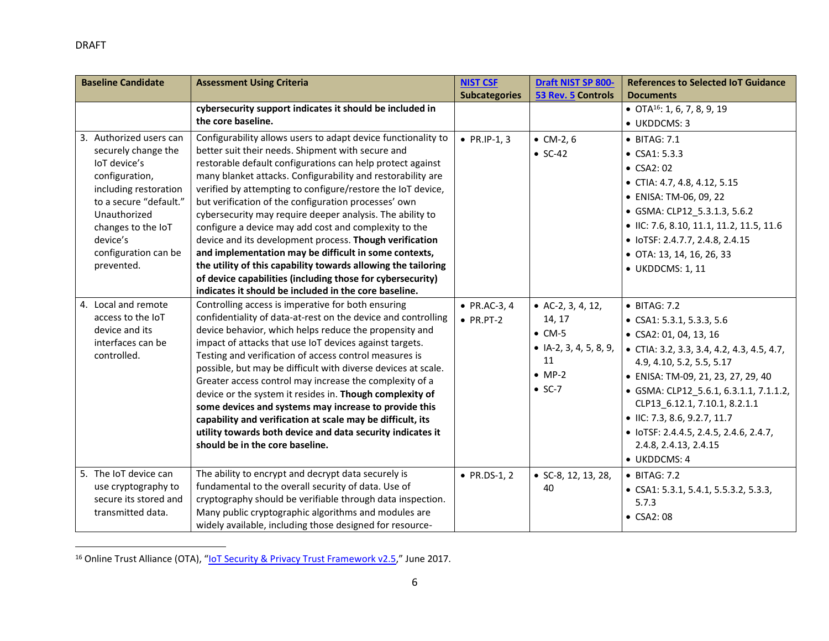l

| <b>Baseline Candidate</b>          | <b>Assessment Using Criteria</b>                                                                                    | <b>NIST CSF</b>      | Draft NIST SP 800-        | <b>References to Selected IoT Guidance</b>     |
|------------------------------------|---------------------------------------------------------------------------------------------------------------------|----------------------|---------------------------|------------------------------------------------|
|                                    |                                                                                                                     | <b>Subcategories</b> | 53 Rev. 5 Controls        | <b>Documents</b>                               |
|                                    | cybersecurity support indicates it should be included in                                                            |                      |                           | • OTA <sup>16</sup> : 1, 6, 7, 8, 9, 19        |
|                                    | the core baseline.                                                                                                  |                      |                           | • UKDDCMS: 3                                   |
| 3. Authorized users can            | Configurability allows users to adapt device functionality to                                                       | • $PR.IP-1, 3$       | $•$ CM-2, 6               | • BITAG: 7.1                                   |
| securely change the                | better suit their needs. Shipment with secure and                                                                   |                      | $\bullet$ SC-42           | • $CSA1: 5.3.3$                                |
| loT device's                       | restorable default configurations can help protect against                                                          |                      |                           | $\bullet$ CSA2: 02                             |
| configuration,                     | many blanket attacks. Configurability and restorability are                                                         |                      |                           | • CTIA: 4.7, 4.8, 4.12, 5.15                   |
| including restoration              | verified by attempting to configure/restore the IoT device,                                                         |                      |                           | • ENISA: TM-06, 09, 22                         |
| to a secure "default."             | but verification of the configuration processes' own                                                                |                      |                           | • GSMA: CLP12 5.3.1.3, 5.6.2                   |
| Unauthorized<br>changes to the IoT | cybersecurity may require deeper analysis. The ability to<br>configure a device may add cost and complexity to the  |                      |                           | • IIC: 7.6, 8.10, 11.1, 11.2, 11.5, 11.6       |
| device's                           | device and its development process. Though verification                                                             |                      |                           | • IoTSF: 2.4.7.7, 2.4.8, 2.4.15                |
| configuration can be               | and implementation may be difficult in some contexts,                                                               |                      |                           | • OTA: 13, 14, 16, 26, 33                      |
| prevented.                         | the utility of this capability towards allowing the tailoring                                                       |                      |                           |                                                |
|                                    | of device capabilities (including those for cybersecurity)                                                          |                      |                           | • UKDDCMS: 1, 11                               |
|                                    | indicates it should be included in the core baseline.                                                               |                      |                           |                                                |
| 4. Local and remote                | Controlling access is imperative for both ensuring                                                                  | • $PR.AC-3, 4$       | • $AC-2$ , 3, 4, 12,      | • BITAG: 7.2                                   |
| access to the IoT                  | confidentiality of data-at-rest on the device and controlling                                                       | $\bullet$ PR.PT-2    | 14, 17                    | • CSA1: 5.3.1, 5.3.3, 5.6                      |
| device and its                     | device behavior, which helps reduce the propensity and                                                              |                      | $\bullet$ CM-5            | $\bullet$ CSA2: 01, 04, 13, 16                 |
| interfaces can be                  | impact of attacks that use IoT devices against targets.                                                             |                      | • $IA-2$ , 3, 4, 5, 8, 9, | • CTIA: 3.2, 3.3, 3.4, 4.2, 4.3, 4.5, 4.7,     |
| controlled.                        | Testing and verification of access control measures is                                                              |                      | 11                        | 4.9, 4.10, 5.2, 5.5, 5.17                      |
|                                    | possible, but may be difficult with diverse devices at scale.                                                       |                      | $\bullet$ MP-2            | • ENISA: TM-09, 21, 23, 27, 29, 40             |
|                                    | Greater access control may increase the complexity of a                                                             |                      | $\bullet$ SC-7            | • GSMA: CLP12_5.6.1, 6.3.1.1, 7.1.1.2,         |
|                                    | device or the system it resides in. Though complexity of                                                            |                      |                           | CLP13_6.12.1, 7.10.1, 8.2.1.1                  |
|                                    | some devices and systems may increase to provide this<br>capability and verification at scale may be difficult, its |                      |                           | • IIC: 7.3, 8.6, 9.2.7, 11.7                   |
|                                    | utility towards both device and data security indicates it                                                          |                      |                           | • IoTSF: 2.4.4.5, 2.4.5, 2.4.6, 2.4.7,         |
|                                    | should be in the core baseline.                                                                                     |                      |                           | 2.4.8, 2.4.13, 2.4.15                          |
|                                    |                                                                                                                     |                      |                           | • UKDDCMS: 4                                   |
| 5. The IoT device can              | The ability to encrypt and decrypt data securely is                                                                 | • $PR.DS-1, 2$       | • $SC-8$ , 12, 13, 28,    | $\bullet$ BITAG: 7.2                           |
| use cryptography to                | fundamental to the overall security of data. Use of                                                                 |                      | 40                        |                                                |
| secure its stored and              | cryptography should be verifiable through data inspection.                                                          |                      |                           | • CSA1: 5.3.1, 5.4.1, 5.5.3.2, 5.3.3,<br>5.7.3 |
| transmitted data.                  | Many public cryptographic algorithms and modules are                                                                |                      |                           | $\bullet$ CSA2:08                              |
|                                    | widely available, including those designed for resource-                                                            |                      |                           |                                                |

<sup>16</sup> Online Trust Alliance (OTA), "[IoT Security & Privacy Trust Framework v2.5,](https://otalliance.org/system/files/files/initiative/documents/iot_trust_framework6-22.pdf)" June 2017.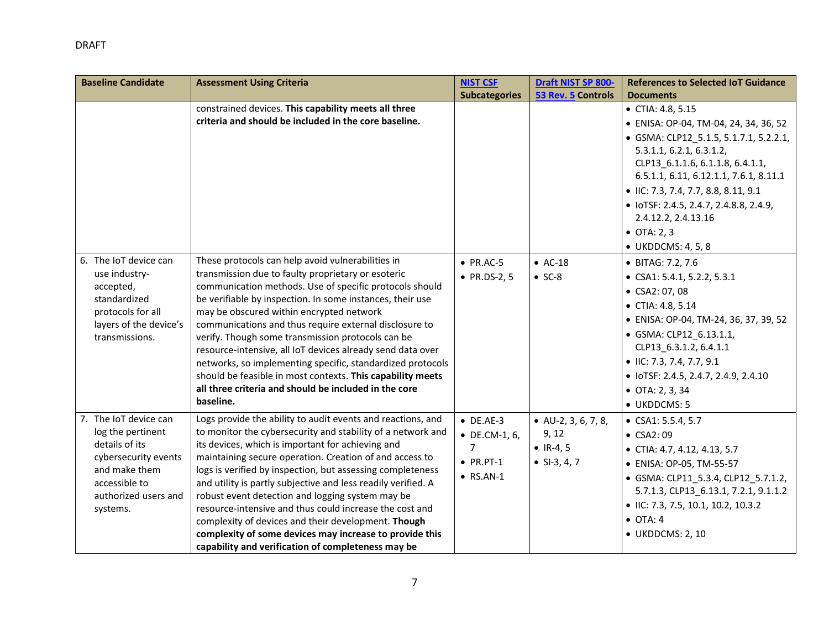| <b>Baseline Candidate</b>              | <b>Assessment Using Criteria</b>                                                                             | <b>NIST CSF</b>       | Draft NIST SP 800-     | <b>References to Selected IoT Guidance</b>                                     |
|----------------------------------------|--------------------------------------------------------------------------------------------------------------|-----------------------|------------------------|--------------------------------------------------------------------------------|
|                                        |                                                                                                              | <b>Subcategories</b>  | 53 Rev. 5 Controls     | <b>Documents</b>                                                               |
|                                        | constrained devices. This capability meets all three                                                         |                       |                        | • CTIA: 4.8, 5.15                                                              |
|                                        | criteria and should be included in the core baseline.                                                        |                       |                        | • ENISA: OP-04, TM-04, 24, 34, 36, 52                                          |
|                                        |                                                                                                              |                       |                        | • GSMA: CLP12 5.1.5, 5.1.7.1, 5.2.2.1,                                         |
|                                        |                                                                                                              |                       |                        | 5.3.1.1, 6.2.1, 6.3.1.2,                                                       |
|                                        |                                                                                                              |                       |                        | CLP13_6.1.1.6, 6.1.1.8, 6.4.1.1,                                               |
|                                        |                                                                                                              |                       |                        | 6.5.1.1, 6.11, 6.12.1.1, 7.6.1, 8.11.1<br>• IIC: 7.3, 7.4, 7.7, 8.8, 8.11, 9.1 |
|                                        |                                                                                                              |                       |                        |                                                                                |
|                                        |                                                                                                              |                       |                        | • IoTSF: 2.4.5, 2.4.7, 2.4.8.8, 2.4.9,<br>2.4.12.2, 2.4.13.16                  |
|                                        |                                                                                                              |                       |                        | $\bullet$ OTA: 2, 3                                                            |
|                                        |                                                                                                              |                       |                        |                                                                                |
|                                        |                                                                                                              |                       |                        | • UKDDCMS: 4, 5, 8                                                             |
| 6. The IoT device can<br>use industry- | These protocols can help avoid vulnerabilities in<br>transmission due to faulty proprietary or esoteric      | $\bullet$ PR.AC-5     | $\bullet$ AC-18        | • BITAG: 7.2, 7.6                                                              |
| accepted,                              | communication methods. Use of specific protocols should                                                      | • $PR.DS-2, 5$        | $\bullet$ SC-8         | $\bullet$ CSA1: 5.4.1, 5.2.2, 5.3.1                                            |
| standardized                           | be verifiable by inspection. In some instances, their use                                                    |                       |                        | • CSA2: 07, 08                                                                 |
| protocols for all                      | may be obscured within encrypted network                                                                     |                       |                        | • CTIA: 4.8, 5.14                                                              |
| layers of the device's                 | communications and thus require external disclosure to                                                       |                       |                        | • ENISA: OP-04, TM-24, 36, 37, 39, 52                                          |
| transmissions.                         | verify. Though some transmission protocols can be                                                            |                       |                        | • GSMA: CLP12_6.13.1.1,                                                        |
|                                        | resource-intensive, all IoT devices already send data over                                                   |                       |                        | CLP13_6.3.1.2, 6.4.1.1                                                         |
|                                        | networks, so implementing specific, standardized protocols                                                   |                       |                        | $\bullet$ IIC: 7.3, 7.4, 7.7, 9.1                                              |
|                                        | should be feasible in most contexts. This capability meets                                                   |                       |                        | • IoTSF: 2.4.5, 2.4.7, 2.4.9, 2.4.10                                           |
|                                        | all three criteria and should be included in the core                                                        |                       |                        | $\bullet$ OTA: 2, 3, 34                                                        |
|                                        | baseline.                                                                                                    |                       |                        | • UKDDCMS: 5                                                                   |
| 7. The IoT device can                  | Logs provide the ability to audit events and reactions, and                                                  | $\bullet$ DE.AE-3     | • $AU-2$ , 3, 6, 7, 8, | $\bullet$ CSA1: 5.5.4, 5.7                                                     |
| log the pertinent                      | to monitor the cybersecurity and stability of a network and                                                  | $\bullet$ DE.CM-1, 6, | 9, 12                  | $\bullet$ CSA2: 09                                                             |
| details of its                         | its devices, which is important for achieving and<br>maintaining secure operation. Creation of and access to | 7                     | • $IR-4, 5$            | • CTIA: 4.7, 4.12, 4.13, 5.7                                                   |
| cybersecurity events<br>and make them  | logs is verified by inspection, but assessing completeness                                                   | $\bullet$ PR.PT-1     | • $SI-3, 4, 7$         | • ENISA: OP-05, TM-55-57                                                       |
| accessible to                          | and utility is partly subjective and less readily verified. A                                                | $\bullet$ RS.AN-1     |                        | • GSMA: CLP11_5.3.4, CLP12_5.7.1.2,                                            |
| authorized users and                   | robust event detection and logging system may be                                                             |                       |                        | 5.7.1.3, CLP13_6.13.1, 7.2.1, 9.1.1.2                                          |
| systems.                               | resource-intensive and thus could increase the cost and                                                      |                       |                        | $\bullet$ IIC: 7.3, 7.5, 10.1, 10.2, 10.3.2                                    |
|                                        | complexity of devices and their development. Though                                                          |                       |                        | $\bullet$ OTA: 4                                                               |
|                                        | complexity of some devices may increase to provide this                                                      |                       |                        | • UKDDCMS: 2, 10                                                               |
|                                        | capability and verification of completeness may be                                                           |                       |                        |                                                                                |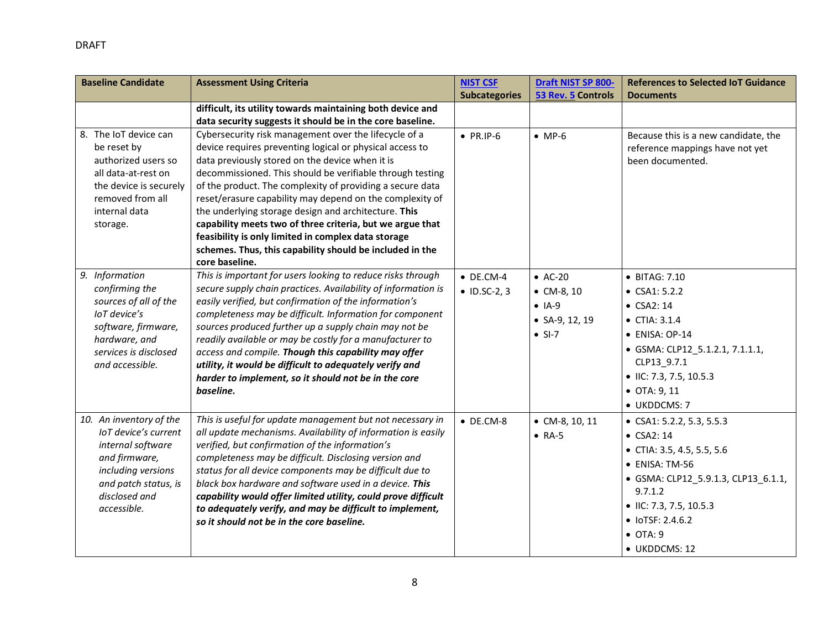| <b>Baseline Candidate</b>                  | <b>Assessment Using Criteria</b>                                                                                        | <b>NIST CSF</b>      | Draft NIST SP 800-     | <b>References to Selected IoT Guidance</b> |
|--------------------------------------------|-------------------------------------------------------------------------------------------------------------------------|----------------------|------------------------|--------------------------------------------|
|                                            |                                                                                                                         | <b>Subcategories</b> | 53 Rev. 5 Controls     | <b>Documents</b>                           |
|                                            | difficult, its utility towards maintaining both device and                                                              |                      |                        |                                            |
|                                            | data security suggests it should be in the core baseline.                                                               |                      |                        |                                            |
| 8. The IoT device can                      | Cybersecurity risk management over the lifecycle of a                                                                   | $\bullet$ PR.IP-6    | $\bullet$ MP-6         | Because this is a new candidate, the       |
| be reset by                                | device requires preventing logical or physical access to                                                                |                      |                        | reference mappings have not yet            |
| authorized users so                        | data previously stored on the device when it is                                                                         |                      |                        | been documented.                           |
| all data-at-rest on                        | decommissioned. This should be verifiable through testing                                                               |                      |                        |                                            |
| the device is securely<br>removed from all | of the product. The complexity of providing a secure data<br>reset/erasure capability may depend on the complexity of   |                      |                        |                                            |
| internal data                              | the underlying storage design and architecture. This                                                                    |                      |                        |                                            |
| storage.                                   | capability meets two of three criteria, but we argue that                                                               |                      |                        |                                            |
|                                            | feasibility is only limited in complex data storage                                                                     |                      |                        |                                            |
|                                            | schemes. Thus, this capability should be included in the                                                                |                      |                        |                                            |
|                                            | core baseline.                                                                                                          |                      |                        |                                            |
| 9. Information                             | This is important for users looking to reduce risks through                                                             | $\bullet$ DE.CM-4    | $\bullet$ AC-20        | • BITAG: 7.10                              |
| confirming the                             | secure supply chain practices. Availability of information is                                                           | $\bullet$ ID.SC-2, 3 | $\bullet$ CM-8, 10     | $\bullet$ CSA1: 5.2.2                      |
| sources of all of the                      | easily verified, but confirmation of the information's                                                                  |                      | $\bullet$ IA-9         | • CSA2: 14                                 |
| loT device's                               | completeness may be difficult. Information for component                                                                |                      | • $SA-9, 12, 19$       | $\bullet$ CTIA: 3.1.4                      |
| software, firmware,<br>hardware, and       | sources produced further up a supply chain may not be<br>readily available or may be costly for a manufacturer to       |                      | $\bullet$ SI-7         | $\bullet$ ENISA: OP-14                     |
| services is disclosed                      | access and compile. Though this capability may offer                                                                    |                      |                        | • GSMA: CLP12_5.1.2.1, 7.1.1.1,            |
| and accessible.                            | utility, it would be difficult to adequately verify and                                                                 |                      |                        | CLP13_9.7.1                                |
|                                            | harder to implement, so it should not be in the core                                                                    |                      |                        | • IIC: 7.3, 7.5, 10.5.3                    |
|                                            | baseline.                                                                                                               |                      |                        | $\bullet$ OTA: 9, 11                       |
|                                            |                                                                                                                         |                      |                        | • UKDDCMS: 7                               |
| 10. An inventory of the                    | This is useful for update management but not necessary in                                                               | $\bullet$ DE.CM-8    | $\bullet$ CM-8, 10, 11 | $\bullet$ CSA1: 5.2.2, 5.3, 5.5.3          |
| loT device's current                       | all update mechanisms. Availability of information is easily                                                            |                      | $\bullet$ RA-5         | $\bullet$ CSA2: 14                         |
| internal software                          | verified, but confirmation of the information's                                                                         |                      |                        | • CTIA: 3.5, 4.5, 5.5, 5.6                 |
| and firmware,                              | completeness may be difficult. Disclosing version and                                                                   |                      |                        | • ENISA: TM-56                             |
| including versions                         | status for all device components may be difficult due to                                                                |                      |                        | • GSMA: CLP12_5.9.1.3, CLP13_6.1.1,        |
| and patch status, is<br>disclosed and      | black box hardware and software used in a device. This<br>capability would offer limited utility, could prove difficult |                      |                        | 9.7.1.2                                    |
| accessible.                                | to adequately verify, and may be difficult to implement,                                                                |                      |                        | • IIC: 7.3, 7.5, 10.5.3                    |
|                                            | so it should not be in the core baseline.                                                                               |                      |                        | $\bullet$ IoTSF: 2.4.6.2                   |
|                                            |                                                                                                                         |                      |                        | $\bullet$ OTA: 9                           |
|                                            |                                                                                                                         |                      |                        | • UKDDCMS: 12                              |